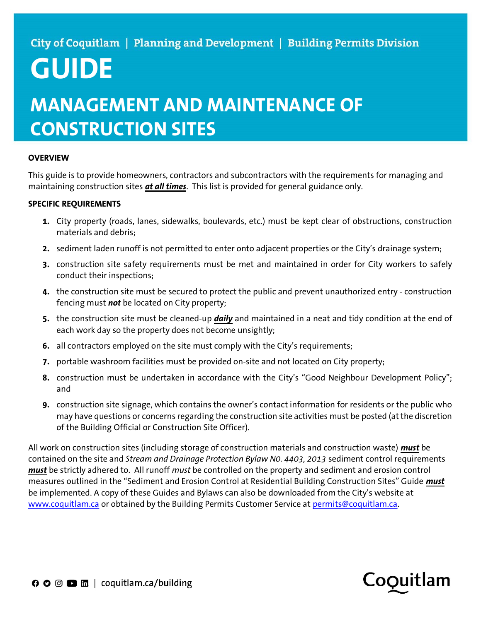# GUIDE

## MANAGEMENT AND MAINTENANCE OF CONSTRUCTION SITES

### **OVERVIEW**

This guide is to provide homeowners, contractors and subcontractors with the requirements for managing and maintaining construction sites at all times. This list is provided for general guidance only.

### SPECIFIC REQUIREMENTS

- 1. City property (roads, lanes, sidewalks, boulevards, etc.) must be kept clear of obstructions, construction materials and debris;
- 2. sediment laden runoff is not permitted to enter onto adjacent properties or the City's drainage system;
- 3. construction site safety requirements must be met and maintained in order for City workers to safely conduct their inspections;
- 4. the construction site must be secured to protect the public and prevent unauthorized entry construction fencing must not be located on City property;
- 5. the construction site must be cleaned-up *daily* and maintained in a neat and tidy condition at the end of each work day so the property does not become unsightly;
- 6. all contractors employed on the site must comply with the City's requirements;
- 7. portable washroom facilities must be provided on-site and not located on City property;
- 8. construction must be undertaken in accordance with the City's "Good Neighbour Development Policy"; and
- 9. construction site signage, which contains the owner's contact information for residents or the public who may have questions or concerns regarding the construction site activities must be posted (at the discretion of the Building Official or Construction Site Officer).

All work on construction sites (including storage of construction materials and construction waste) must be contained on the site and Stream and Drainage Protection Bylaw N0. 4403, 2013 sediment control requirements must be strictly adhered to. All runoff must be controlled on the property and sediment and erosion control measures outlined in the "Sediment and Erosion Control at Residential Building Construction Sites" Guide *must* be implemented. A copy of these Guides and Bylaws can also be downloaded from the City's website at www.coquitlam.ca or obtained by the Building Permits Customer Service at permits@coquitlam.ca.